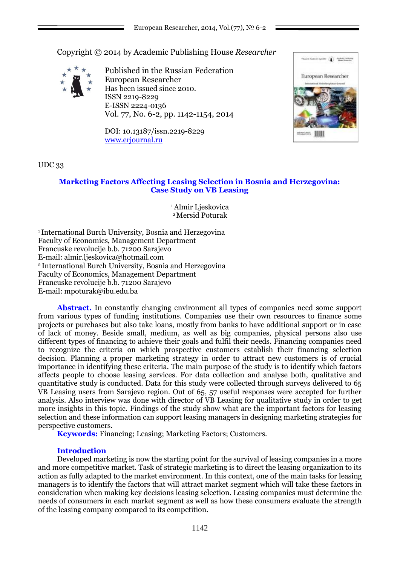Copyright © 2014 by Academic Publishing House *Researcher*



Published in the Russian Federation European Researcher Has been issued since 2010. ISSN 2219-8229 E-ISSN 2224-0136 Vol. 77, No. 6-2, pp. 1142-1154, 2014

DOI: 10.13187/issn.2219-8229 [www.erjournal.ru](http://www.erjournal.ru/)



UDC 33

## **Marketing Factors Affecting Leasing Selection in Bosnia and Herzegovina: Case Study on VB Leasing**

<sup>1</sup>Almir Ljeskovica <sup>2</sup>Mersid Poturak

<sup>1</sup>International Burch University, Bosnia and Herzegovina Faculty of Economics, Management Department Francuske revolucije b.b. 71200 Sarajevo E-mail: almir.ljeskovica@hotmail.com <sup>2</sup>International Burch University, Bosnia and Herzegovina Faculty of Economics, Management Department Francuske revolucije b.b. 71200 Sarajevo E-mail: mpoturak@ibu.edu.ba

Abstract. In constantly changing environment all types of companies need some support from various types of funding institutions. Companies use their own resources to finance some projects or purchases but also take loans, mostly from banks to have additional support or in case of lack of money. Beside small, medium, as well as big companies, physical persons also use different types of financing to achieve their goals and fulfil their needs. Financing companies need to recognize the criteria on which prospective customers establish their financing selection decision. Planning a proper marketing strategy in order to attract new customers is of crucial importance in identifying these criteria. The main purpose of the study is to identify which factors affects people to choose leasing services. For data collection and analyse both, qualitative and quantitative study is conducted. Data for this study were collected through surveys delivered to 65 VB Leasing users from Sarajevo region. Out of 65, 57 useful responses were accepted for further analysis. Also interview was done with director of VB Leasing for qualitative study in order to get more insights in this topic. Findings of the study show what are the important factors for leasing selection and these information can support leasing managers in designing marketing strategies for perspective customers.

**Keywords:** Financing; Leasing; Marketing Factors; Customers.

## **Introduction**

Developed marketing is now the starting point for the survival of leasing companies in a more and more competitive market. Task of strategic marketing is to direct the leasing organization to its action as fully adapted to the market environment. In this context, one of the main tasks for leasing managers is to identify the factors that will attract market segment which will take these factors in consideration when making key decisions leasing selection. Leasing companies must determine the needs of consumers in each market segment as well as how these consumers evaluate the strength of the leasing company compared to its competition.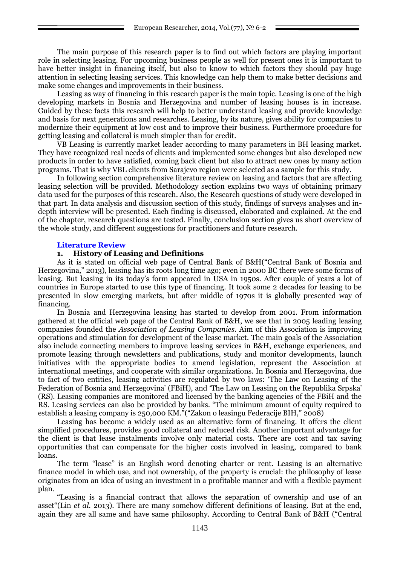The main purpose of this research paper is to find out which factors are playing important role in selecting leasing. For upcoming business people as well for present ones it is important to have better insight in financing itself, but also to know to which factors they should pay huge attention in selecting leasing services. This knowledge can help them to make better decisions and make some changes and improvements in their business.

Leasing as way of financing in this research paper is the main topic. Leasing is one of the high developing markets in Bosnia and Herzegovina and number of leasing houses is in increase. Guided by these facts this research will help to better understand leasing and provide knowledge and basis for next generations and researches. Leasing, by its nature, gives ability for companies to modernize their equipment at low cost and to improve their business. Furthermore procedure for getting leasing and collateral is much simpler than for credit.

VB Leasing is currently market leader according to many parameters in BH leasing market. They have recognized real needs of clients and implemented some changes but also developed new products in order to have satisfied, coming back client but also to attract new ones by many action programs. That is why VBL clients from Sarajevo region were selected as a sample for this study.

In following section comprehensive literature review on leasing and factors that are affecting leasing selection will be provided. Methodology section explains two ways of obtaining primary data used for the purposes of this research. Also, the Research questions of study were developed in that part. In data analysis and discussion section of this study, findings of surveys analyses and indepth interview will be presented. Each finding is discussed, elaborated and explained. At the end of the chapter, research questions are tested. Finally, conclusion section gives us short overview of the whole study, and different suggestions for practitioners and future research.

### **Literature Review**

### **1. History of Leasing and Definitions**

As it is stated on official web page of Central Bank of B&H("Central Bank of Bosnia and Herzegovina," 2013), leasing has its roots long time ago; even in 2000 BC there were some forms of leasing. But leasing in its today's form appeared in USA in 1950s. After couple of years a lot of countries in Europe started to use this type of financing. It took some 2 decades for leasing to be presented in slow emerging markets, but after middle of 1970s it is globally presented way of financing.

In Bosnia and Herzegovina leasing has started to develop from 2001. From information gathered at the official web page of the Central Bank of B&H, we see that in 2005 leading leasing companies founded the *Association of Leasing Companies.* Aim of this Association is improving operations and stimulation for development of the lease market. The main goals of the Association also include connecting members to improve leasing services in B&H, exchange experiences, and promote leasing through newsletters and publications, study and monitor developments, launch initiatives with the appropriate bodies to amend legislation, represent the Association at international meetings, and cooperate with similar organizations. In Bosnia and Herzegovina, due to fact of two entities, leasing activities are regulated by two laws: ‗The Law on Leasing of the Federation of Bosnia and Herzegovina' (FBiH), and 'The Law on Leasing on the Republika Srpska' (RS). Leasing companies are monitored and licensed by the banking agencies of the FBiH and the RS. Leasing services can also be provided by banks. "The minimum amount of equity required to establish a leasing company is 250,000 KM." ("Zakon o leasingu Federacije BIH," 2008)

Leasing has become a widely used as an alternative form of financing. It offers the client simplified procedures, provides good collateral and reduced risk. Another important advantage for the client is that lease instalments involve only material costs. There are cost and tax saving opportunities that can compensate for the higher costs involved in leasing, compared to bank loans.

The term "lease" is an English word denoting charter or rent. Leasing is an alternative finance model in which use, and not ownership, of the property is crucial: the philosophy of lease originates from an idea of using an investment in a profitable manner and with a flexible payment plan.

―Leasing is a financial contract that allows the separation of ownership and use of an asset<sup>"</sup>(Lin *et al.* 2013). There are many somehow different definitions of leasing. But at the end, again they are all same and have same philosophy. According to Central Bank of B&H ("Central")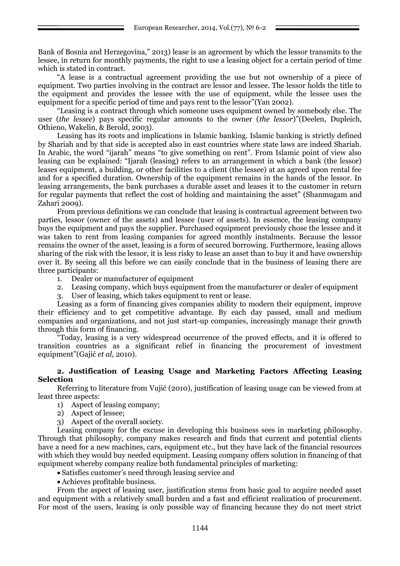Bank of Bosnia and Herzegovina," 2013) lease is an agreement by which the lessor transmits to the lessee, in return for monthly payments, the right to use a leasing object for a certain period of time which is stated in contract.

―A lease is a contractual agreement providing the use but not ownership of a piece of equipment. Two parties involving in the contract are lessor and lessee. The lessor holds the title to the equipment and provides the lessee with the use of equipment, while the lessee uses the equipment for a specific period of time and pays rent to the lessor"(Yan 2002).

―Leasing is a contract through which someone uses equipment owned by somebody else. The user *(the lessee)* pays specific regular amounts to the owner *(the lessor)*"(Deelen, Dupleich, Othieno, Wakelin, & Berold, 2003).

Leasing has its roots and implications in Islamic banking. Islamic banking is strictly defined by Shariah and by that side is accepted also in east countries where state laws are indeed Shariah. In Arabic, the word "ijarah" means "to give something on rent". From Islamic point of view also leasing can be explained: "Ijarah (leasing) refers to an arrangement in which a bank (the lessor) leases equipment, a building, or other facilities to a client (the lessee) at an agreed upon rental fee and for a specified duration. Ownership of the equipment remains in the hands of the lessor. In leasing arrangements, the bank purchases a durable asset and leases it to the customer in return for regular payments that reflect the cost of holding and maintaining the asset" (Shanmugam and Zahari 2009).

From previous definitions we can conclude that leasing is contractual agreement between two parties, lessor (owner of the assets) and lessee (user of assets). In essence, the leasing company buys the equipment and pays the supplier. Purchased equipment previously chose the lessee and it was taken to rent from leasing companies for agreed monthly instalments. Because the lessor remains the owner of the asset, leasing is a form of secured borrowing. Furthermore, leasing allows sharing of the risk with the lessor, it is less risky to lease an asset than to buy it and have ownership over it. By seeing all this before we can easily conclude that in the business of leasing there are three participants:

- 1. Dealer or manufacturer of equipment
- 2. Leasing company, which buys equipment from the manufacturer or dealer of equipment
- 3. User of leasing, which takes equipment to rent or lease.

Leasing as a form of financing gives companies ability to modern their equipment, improve their efficiency and to get competitive advantage. By each day passed, small and medium companies and organizations, and not just start-up companies, increasingly manage their growth through this form of financing.

―Today, leasing is a very widespread occurrence of the proved effects, and it is offered to transition countries as a significant relief in financing the procurement of investment equipment‖(Gajić *et al*, 2010).

## **2. Justification of Leasing Usage and Marketing Factors Affecting Leasing Selection**

Referring to literature from Vujić (2010), justification of leasing usage can be viewed from at least three aspects:

1) Aspect of leasing company;

- 2) Aspect of lessee;
- 3) Aspect of the overall society.

Leasing company for the excuse in developing this business sees in marketing philosophy. Through that philosophy, company makes research and finds that current and potential clients have a need for a new machines, cars, equipment etc., but they have lack of the financial resources with which they would buy needed equipment. Leasing company offers solution in financing of that equipment whereby company realize both fundamental principles of marketing:

Satisfies customer's need through leasing service and

Achieves profitable business.

From the aspect of leasing user, justification stems from basic goal to acquire needed asset and equipment with a relatively small burden and a fast and efficient realization of procurement. For most of the users, leasing is only possible way of financing because they do not meet strict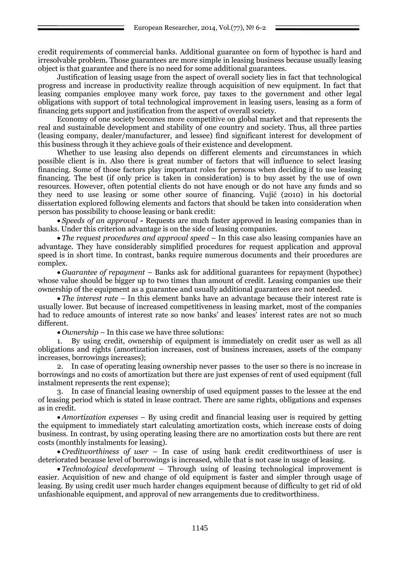credit requirements of commercial banks. Additional guarantee on form of hypothec is hard and irresolvable problem. Those guarantees are more simple in leasing business because usually leasing object is that guarantee and there is no need for some additional guarantees.

Justification of leasing usage from the aspect of overall society lies in fact that technological progress and increase in productivity realize through acquisition of new equipment. In fact that leasing companies employee many work force, pay taxes to the government and other legal obligations with support of total technological improvement in leasing users, leasing as a form of financing gets support and justification from the aspect of overall society.

Economy of one society becomes more competitive on global market and that represents the real and sustainable development and stability of one country and society. Thus, all three parties (leasing company, dealer/manufacturer, and lessee) find significant interest for development of this business through it they achieve goals of their existence and development.

Whether to use leasing also depends on different elements and circumstances in which possible client is in. Also there is great number of factors that will influence to select leasing financing. Some of those factors play important roles for persons when deciding if to use leasing financing. The best (if only price is taken in consideration) is to buy asset by the use of own resources. However, often potential clients do not have enough or do not have any funds and so they need to use leasing or some other source of financing. Vujić (2010) in his doctorial dissertation explored following elements and factors that should be taken into consideration when person has possibility to choose leasing or bank credit:

 *Speeds of an approval* **-** Requests are much faster approved in leasing companies than in banks. Under this criterion advantage is on the side of leasing companies.

 *The request procedures and approval speed* – In this case also leasing companies have an advantage. They have considerably simplified procedures for request application and approval speed is in short time. In contrast, banks require numerous documents and their procedures are complex.

 *Guarantee of repayment* – Banks ask for additional guarantees for repayment (hypothec) whose value should be bigger up to two times than amount of credit. Leasing companies use their ownership of the equipment as a guarantee and usually additional guarantees are not needed.

• *The interest rate* – In this element banks have an advantage because their interest rate is usually lower. But because of increased competitiveness in leasing market, most of the companies had to reduce amounts of interest rate so now banks' and leases' interest rates are not so much different.

*Ownership* – In this case we have three solutions:

1. By using credit, ownership of equipment is immediately on credit user as well as all obligations and rights (amortization increases, cost of business increases, assets of the company increases, borrowings increases);

2. In case of operating leasing ownership never passes to the user so there is no increase in borrowings and no costs of amortization but there are just expenses of rent of used equipment (full instalment represents the rent expense);

3. In case of financial leasing ownership of used equipment passes to the lessee at the end of leasing period which is stated in lease contract. There are same rights, obligations and expenses as in credit.

• *Amortization expenses* – By using credit and financial leasing user is required by getting the equipment to immediately start calculating amortization costs, which increase costs of doing business. In contrast, by using operating leasing there are no amortization costs but there are rent costs (monthly instalments for leasing).

 *Creditworthiness of user* – In case of using bank credit creditworthiness of user is deteriorated because level of borrowings is increased, while that is not case in usage of leasing.

 *Technological development* – Through using of leasing technological improvement is easier. Acquisition of new and change of old equipment is faster and simpler through usage of leasing. By using credit user much harder changes equipment because of difficulty to get rid of old unfashionable equipment, and approval of new arrangements due to creditworthiness.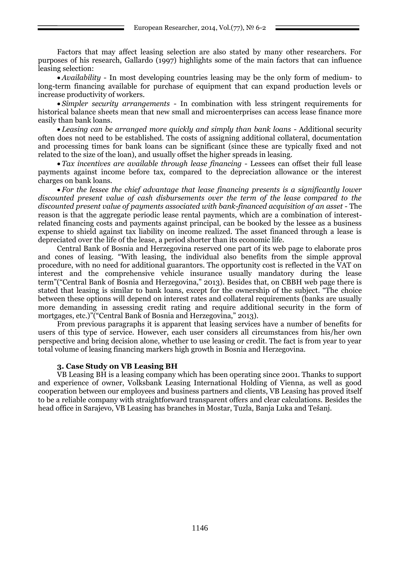Factors that may affect leasing selection are also stated by many other researchers. For purposes of his research, Gallardo (1997) highlights some of the main factors that can influence leasing selection:

 *Availability* - In most developing countries leasing may be the only form of medium- to long-term financing available for purchase of equipment that can expand production levels or increase productivity of workers.

 *Simpler security arrangements* - In combination with less stringent requirements for historical balance sheets mean that new small and microenterprises can access lease finance more easily than bank loans.

 *Leasing can be arranged more quickly and simply than bank loans* - Additional security often does not need to be established. The costs of assigning additional collateral, documentation and processing times for bank loans can be significant (since these are typically fixed and not related to the size of the loan), and usually offset the higher spreads in leasing.

 *Tax incentives are available through lease financing* - Lessees can offset their full lease payments against income before tax, compared to the depreciation allowance or the interest charges on bank loans.

 *For the lessee the chief advantage that lease financing presents is a significantly lower discounted present value of cash disbursements over the term of the lease compared to the discounted present value of payments associated with bank-financed acquisition of an asset* - The reason is that the aggregate periodic lease rental payments, which are a combination of interestrelated financing costs and payments against principal, can be booked by the lessee as a business expense to shield against tax liability on income realized. The asset financed through a lease is depreciated over the life of the lease, a period shorter than its economic life.

Central Bank of Bosnia and Herzegovina reserved one part of its web page to elaborate pros and cones of leasing. "With leasing, the individual also benefits from the simple approval procedure, with no need for additional guarantors. The opportunity cost is reflected in the VAT on interest and the comprehensive vehicle insurance usually mandatory during the lease term"("Central Bank of Bosnia and Herzegovina," 2013). Besides that, on CBBH web page there is stated that leasing is similar to bank loans, except for the ownership of the subject. "The choice between these options will depend on interest rates and collateral requirements (banks are usually more demanding in assessing credit rating and require additional security in the form of mortgages, etc.)"("Central Bank of Bosnia and Herzegovina," 2013).

From previous paragraphs it is apparent that leasing services have a number of benefits for users of this type of service. However, each user considers all circumstances from his/her own perspective and bring decision alone, whether to use leasing or credit. The fact is from year to year total volume of leasing financing markers high growth in Bosnia and Herzegovina.

### **3. Case Study on VB Leasing BH**

VB Leasing BH is a leasing company which has been operating since 2001. Thanks to support and experience of owner, Volksbank Leasing International Holding of Vienna, as well as good cooperation between our employees and business partners and clients, VB Leasing has proved itself to be a reliable company with straightforward transparent offers and clear calculations. Besides the head office in Sarajevo, VB Leasing has branches in Mostar, Tuzla, Banja Luka and Tešanj.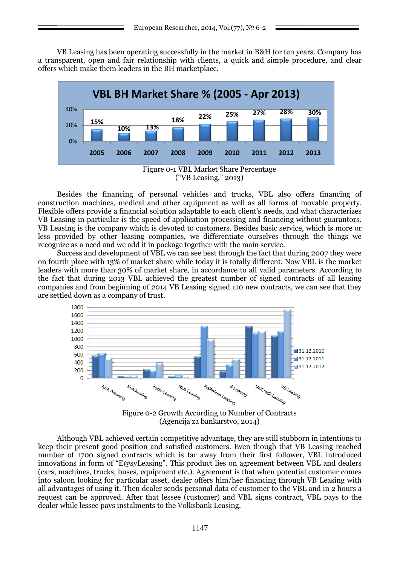VB Leasing has been operating successfully in the market in B&H for ten years. Company has a transparent, open and fair relationship with clients, a quick and simple procedure, and clear offers which make them leaders in the BH marketplace.



Besides the financing of personal vehicles and trucks, VBL also offers financing of construction machines, medical and other equipment as well as all forms of movable property. Flexible offers provide a financial solution adaptable to each client's needs, and what characterizes VB Leasing in particular is the speed of application processing and financing without guarantors. VB Leasing is the company which is devoted to customers. Besides basic service, which is more or less provided by other leasing companies, we differentiate ourselves through the things we recognize as a need and we add it in package together with the main service.

Success and development of VBL we can see best through the fact that during 2007 they were on fourth place with 13% of market share while today it is totally different. Now VBL is the market leaders with more than 30% of market share, in accordance to all valid parameters. According to the fact that during 2013 VBL achieved the greatest number of signed contracts of all leasing companies and from beginning of 2014 VB Leasing signed 110 new contracts, we can see that they are settled down as a company of trust.



Figure 0-2 Growth According to Number of Contracts (Agencija za bankarstvo, 2014)

Although VBL achieved certain competitive advantage, they are still stubborn in intentions to keep their present good position and satisfied customers. Even though that VB Leasing reached number of 1700 signed contracts which is far away from their first follower, VBL introduced innovations in form of "E@syLeasing". This product lies on agreement between VBL and dealers (cars, machines, trucks, buses, equipment etc.). Agreement is that when potential customer comes into saloon looking for particular asset, dealer offers him/her financing through VB Leasing with all advantages of using it. Then dealer sends personal data of customer to the VBL and in 2 hours a request can be approved. After that lessee (customer) and VBL signs contract, VBL pays to the dealer while lessee pays instalments to the Volksbank Leasing.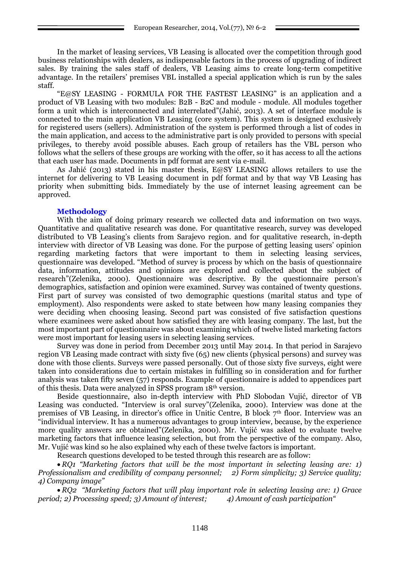In the market of leasing services, VB Leasing is allocated over the competition through good business relationships with dealers, as indispensable factors in the process of upgrading of indirect sales. By training the sales staff of dealers, VB Leasing aims to create long-term competitive advantage. In the retailers' premises VBL installed a special application which is run by the sales staff.

―E@SY LEASING - FORMULA FOR THE FASTEST LEASING‖ is an application and a product of VB Leasing with two modules: B2B - B2C and module - module. All modules together form a unit which is interconnected and interrelated"(Jahić, 2013). A set of interface module is connected to the main application VB Leasing (core system). This system is designed exclusively for registered users (sellers). Administration of the system is performed through a list of codes in the main application, and access to the administrative part is only provided to persons with special privileges, to thereby avoid possible abuses. Each group of retailers has the VBL person who follows what the sellers of these groups are working with the offer, so it has access to all the actions that each user has made. Documents in pdf format are sent via e-mail.

As Jahić (2013) stated in his master thesis, E@SY LEASING allows retailers to use the internet for delivering to VB Leasing document in pdf format and by that way VB Leasing has priority when submitting bids. Immediately by the use of internet leasing agreement can be approved.

## **Methodology**

With the aim of doing primary research we collected data and information on two ways. Quantitative and qualitative research was done. For quantitative research, survey was developed distributed to VB Leasing's clients from Sarajevo region. and for qualitative research, in-depth interview with director of VB Leasing was done. For the purpose of getting leasing users' opinion regarding marketing factors that were important to them in selecting leasing services, questionnaire was developed. "Method of survey is process by which on the basis of questionnaire data, information, attitudes and opinions are explored and collected about the subject of research‖(Zelenika, 2000). Questionnaire was descriptive. By the questionnaire person's demographics, satisfaction and opinion were examined. Survey was contained of twenty questions. First part of survey was consisted of two demographic questions (marital status and type of employment). Also respondents were asked to state between how many leasing companies they were deciding when choosing leasing. Second part was consisted of five satisfaction questions where examinees were asked about how satisfied they are with leasing company. The last, but the most important part of questionnaire was about examining which of twelve listed marketing factors were most important for leasing users in selecting leasing services.

Survey was done in period from December 2013 until May 2014. In that period in Sarajevo region VB Leasing made contract with sixty five (65) new clients (physical persons) and survey was done with those clients. Surveys were passed personally. Out of those sixty five surveys, eight were taken into considerations due to certain mistakes in fulfilling so in consideration and for further analysis was taken fifty seven (57) responds. Example of questionnaire is added to appendices part of this thesis. Data were analyzed in SPSS program 18th version.

Beside questionnaire, also in-depth interview with PhD Slobodan Vujić, director of VB Leasing was conducted. "Interview is oral survey" (Zelenika, 2000). Interview was done at the premises of VB Leasing, in director's office in Unitic Centre, B block  $7<sup>th</sup>$  floor. Interview was an ―individual interview. It has a numerous advantages to group interview, because, by the experience more quality answers are obtained"(Zelenika, 2000). Mr. Vujić was asked to evaluate twelve marketing factors that influence leasing selection, but from the perspective of the company. Also, Mr. Vujić was kind so he also explained why each of these twelve factors is important.

Research questions developed to be tested through this research are as follow:

 *RQ1 "Marketing factors that will be the most important in selecting leasing are: 1) Professionalism and credibility of company personnel; 2) Form simplicity; 3) Service quality; 4) Company image"*

 *RQ2 "Marketing factors that will play important role in selecting leasing are: 1) Grace period; 2) Processing speed; 3) Amount of interest; 4) Amount of cash participation"*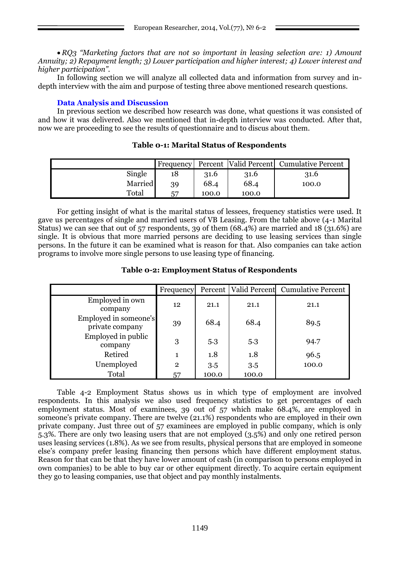*RQ3 "Marketing factors that are not so important in leasing selection are: 1) Amount Annuity; 2) Repayment length; 3) Lower participation and higher interest; 4) Lower interest and higher participation".*

In following section we will analyze all collected data and information from survey and indepth interview with the aim and purpose of testing three above mentioned research questions.

# **Data Analysis and Discussion**

In previous section we described how research was done, what questions it was consisted of and how it was delivered. Also we mentioned that in-depth interview was conducted. After that, now we are proceeding to see the results of questionnaire and to discus about them.

|         | <b>Frequency</b> |       |       | Percent Valid Percent Cumulative Percent |
|---------|------------------|-------|-------|------------------------------------------|
| Single  |                  | 31.6  | 31.6  | 31.6                                     |
| Married | 39               | 68.4  | 68.4  | 100.0                                    |
| Total   | 57               | 100.0 | 100.0 |                                          |

## **Table 0-1: Marital Status of Respondents**

For getting insight of what is the marital status of lessees, frequency statistics were used. It gave us percentages of single and married users of VB Leasing. From the table above (4-1 Marital Status) we can see that out of 57 respondents, 39 of them (68.4%) are married and 18 (31.6%) are single. It is obvious that more married persons are deciding to use leasing services than single persons. In the future it can be examined what is reason for that. Also companies can take action programs to involve more single persons to use leasing type of financing.

## **Table 0-2: Employment Status of Respondents**

|                                          | Frequency       |       |       | Percent   Valid Percent   Cumulative Percent |
|------------------------------------------|-----------------|-------|-------|----------------------------------------------|
| Employed in own<br>company               | 12 <sup>2</sup> | 21.1  | 21.1  | 21.1                                         |
| Employed in someone's<br>private company | 39              | 68.4  | 68.4  | 89.5                                         |
| Employed in public<br>company            | 3               | 5.3   | 5.3   | 94.7                                         |
| Retired                                  | 1               | 1.8   | 1.8   | 96.5                                         |
| Unemployed                               | $\mathbf{2}$    | 3.5   | 3.5   | 100.0                                        |
| Total                                    | 57              | 100.0 | 100.0 |                                              |

Table 4-2 Employment Status shows us in which type of employment are involved respondents. In this analysis we also used frequency statistics to get percentages of each employment status. Most of examinees, 39 out of 57 which make 68.4%, are employed in someone's private company. There are twelve (21.1%) respondents who are employed in their own private company. Just three out of 57 examinees are employed in public company, which is only 5.3%. There are only two leasing users that are not employed (3.5%) and only one retired person uses leasing services (1.8%). As we see from results, physical persons that are employed in someone else's company prefer leasing financing then persons which have different employment status. Reason for that can be that they have lower amount of cash (in comparison to persons employed in own companies) to be able to buy car or other equipment directly. To acquire certain equipment they go to leasing companies, use that object and pay monthly instalments.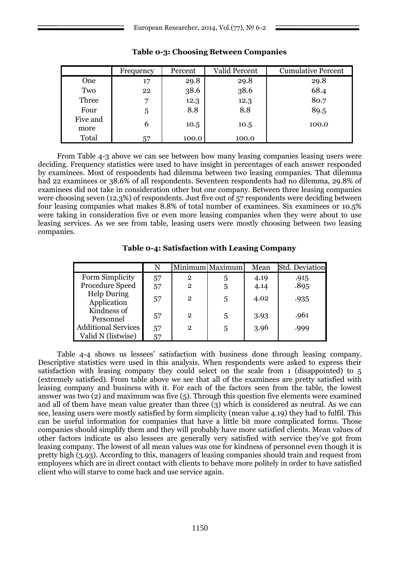|                  | Frequency | Percent | Valid Percent | <b>Cumulative Percent</b> |
|------------------|-----------|---------|---------------|---------------------------|
| One              | 17        | 29.8    | 29.8          | 29.8                      |
| Two              | 22        | 38.6    | 38.6          | 68.4                      |
| Three            | 7         | 12.3    | 12.3          | 80.7                      |
| Four             | 5         | 8.8     | 8.8           | 89.5                      |
| Five and<br>more | 6         | 10.5    | 10.5          | 100.0                     |
| Total            | 57        | 100.0   | 100.0         |                           |

## **Table 0-3: Choosing Between Companies**

From Table 4-3 above we can see between how many leasing companies leasing users were deciding. Frequency statistics were used to have insight in percentages of each answer responded by examinees. Most of respondents had dilemma between two leasing companies. That dilemma had 22 examinees or 38.6% of all respondents. Seventeen respondents had no dilemma, 29.8% of examinees did not take in consideration other but one company. Between three leasing companies were choosing seven (12.3%) of respondents. Just five out of 57 respondents were deciding between four leasing companies what makes 8.8% of total number of examinees. Six examinees or 10.5% were taking in consideration five or even more leasing companies when they were about to use leasing services. As we see from table, leasing users were mostly choosing between two leasing companies.

**Table 0-4: Satisfaction with Leasing Company**

|                                   |    |                | Minimum Maximum | Mean | <b>Std. Deviation</b> |
|-----------------------------------|----|----------------|-----------------|------|-----------------------|
| Form Simplicity                   | 57 | $\overline{2}$ | 5               | 4.19 | .915                  |
| Procedure Speed                   | 57 | $\mathbf 2$    | 5               | 4.14 | .895                  |
| <b>Help During</b><br>Application | 57 | $\mathbf{2}$   | 5               | 4.02 | .935                  |
| Kindness of<br>Personnel          | 57 | $\mathbf 2$    | 5               | 3.93 | .961                  |
| <b>Additional Services</b>        | 57 | 2              | 5               | 3.96 | .999                  |
| Valid N (listwise)                | 57 |                |                 |      |                       |

Table 4-4 shows us lessees' satisfaction with business done through leasing company. Descriptive statistics were used in this analysis. When respondents were asked to express their satisfaction with leasing company they could select on the scale from 1 (disappointed) to 5 (extremely satisfied). From table above we see that all of the examinees are pretty satisfied with leasing company and business with it. For each of the factors seen from the table, the lowest answer was two (2) and maximum was five (5). Through this question five elements were examined and all of them have mean value greater than three  $\overline{3}$  which is considered as neutral. As we can see, leasing users were mostly satisfied by form simplicity (mean value 4.19) they had to fulfil. This can be useful information for companies that have a little bit more complicated forms. Those companies should simplify them and they will probably have more satisfied clients. Mean values of other factors indicate us also lessees are generally very satisfied with service they've got from leasing company. The lowest of all mean values was one for kindness of personnel even though it is pretty high (3.93). According to this, managers of leasing companies should train and request from employees which are in direct contact with clients to behave more politely in order to have satisfied client who will starve to come back and use service again.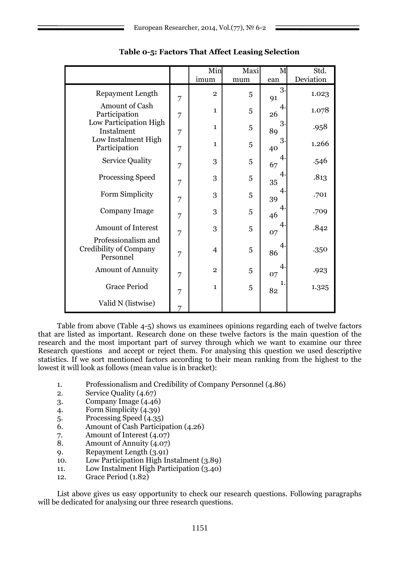|                                                            |   | Min            | Maxi | M                    | Std.      |
|------------------------------------------------------------|---|----------------|------|----------------------|-----------|
|                                                            |   | imum           | mum  | ean                  | Deviation |
| <b>Repayment Length</b>                                    | 7 | $\overline{2}$ | 5    | 3 <sub>1</sub><br>91 | 1.023     |
| Amount of Cash<br>Participation                            | 7 | $\mathbf{1}$   | 5    | 4<br>26              | 1.078     |
| Low Participation High<br>Instalment                       | 7 | $\mathbf{1}$   | 5    | 3<br>89              | .958      |
| Low Instalment High<br>Participation                       | 7 | $\mathbf{1}$   | 5    | 3<br>40              | 1.266     |
| <b>Service Quality</b>                                     | 7 | 3              | 5    | 4<br>67              | .546      |
| Processing Speed                                           | 7 | 3              | 5    | 4<br>35              | .813      |
| Form Simplicity                                            | 7 | 3              | 5    | 4<br>39              | .701      |
| Company Image                                              | 7 | 3              | 5    | 4<br>46              | .709      |
| <b>Amount of Interest</b>                                  | 7 | 3              | 5    | 4<br>07              | .842      |
| Professionalism and<br>Credibility of Company<br>Personnel | 7 | $\overline{4}$ | 5    | $\mathbf 4$<br>86    | .350      |
| <b>Amount of Annuity</b>                                   | 7 | $\overline{2}$ | 5    | 4<br>07              | .923      |
| <b>Grace Period</b>                                        | 7 | $\mathbf{1}$   | 5    | 1.<br>82             | 1.325     |
| Valid N (listwise)                                         | 7 |                |      |                      |           |

## **Table 0-5: Factors That Affect Leasing Selection**

Table from above (Table 4-5) shows us examinees opinions regarding each of twelve factors that are listed as important. Research done on these twelve factors is the main question of the research and the most important part of survey through which we want to examine our three Research questions and accept or reject them. For analysing this question we used descriptive statistics. If we sort mentioned factors according to their mean ranking from the highest to the lowest it will look as follows (mean value is in bracket):

- 1. Professionalism and Credibility of Company Personnel (4.86)
- 2. Service Quality (4.67)
- 3. Company Image  $(4.46)$
- 4. Form Simplicity (4.39)
- 5. Processing Speed (4.35)
- 6. Amount of Cash Participation (4.26)
- 7. Amount of Interest (4.07)
- 8. Amount of Annuity (4.07)
- 9. Repayment Length (3.91)
- 10. Low Participation High Instalment (3.89)
- 11. Low Instalment High Participation (3.40)
- 12. Grace Period (1.82)

List above gives us easy opportunity to check our research questions. Following paragraphs will be dedicated for analysing our three research questions.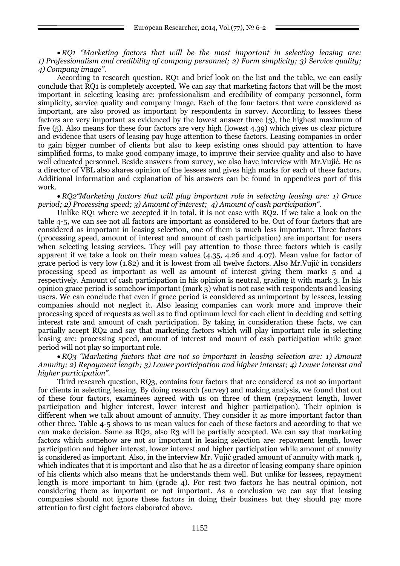*RQ1 "Marketing factors that will be the most important in selecting leasing are: 1) Professionalism and credibility of company personnel; 2) Form simplicity; 3) Service quality; 4) Company image".*

According to research question, RQ1 and brief look on the list and the table, we can easily conclude that RQ1 is completely accepted. We can say that marketing factors that will be the most important in selecting leasing are: professionalism and credibility of company personnel, form simplicity, service quality and company image. Each of the four factors that were considered as important, are also proved as important by respondents in survey. According to lessees these factors are very important as evidenced by the lowest answer three (3), the highest maximum of five (5). Also means for these four factors are very high (lowest 4.39) which gives us clear picture and evidence that users of leasing pay huge attention to these factors. Leasing companies in order to gain bigger number of clients but also to keep existing ones should pay attention to have simplified forms, to make good company image, to improve their service quality and also to have well educated personnel. Beside answers from survey, we also have interview with Mr.Vujić. He as a director of VBL also shares opinion of the lessees and gives high marks for each of these factors. Additional information and explanation of his answers can be found in appendices part of this work.

 *RQ2"Marketing factors that will play important role in selecting leasing are: 1) Grace period; 2) Processing speed; 3) Amount of interest; 4) Amount of cash participation".*

Unlike RO1 where we accepted it in total, it is not case with RO2. If we take a look on the table 4-5, we can see not all factors are important as considered to be. Out of four factors that are considered as important in leasing selection, one of them is much less important. Three factors (processing speed, amount of interest and amount of cash participation) are important for users when selecting leasing services. They will pay attention to those three factors which is easily apparent if we take a look on their mean values (4.35, 4.26 and 4.07). Mean value for factor of grace period is very low (1.82) and it is lowest from all twelve factors. Also Mr.Vujić in considers processing speed as important as well as amount of interest giving them marks 5 and 4 respectively. Amount of cash participation in his opinion is neutral, grading it with mark 3. In his opinion grace period is somehow important (mark 3) what is not case with respondents and leasing users. We can conclude that even if grace period is considered as unimportant by lessees, leasing companies should not neglect it. Also leasing companies can work more and improve their processing speed of requests as well as to find optimum level for each client in deciding and setting interest rate and amount of cash participation. By taking in consideration these facts, we can partially accept RQ2 and say that marketing factors which will play important role in selecting leasing are: processing speed, amount of interest and mount of cash participation while grace period will not play so important role.

 *RQ3 "Marketing factors that are not so important in leasing selection are: 1) Amount Annuity; 2) Repayment length; 3) Lower participation and higher interest; 4) Lower interest and higher participation".*

Third research question, RQ3, contains four factors that are considered as not so important for clients in selecting leasing. By doing research (survey) and making analysis, we found that out of these four factors, examinees agreed with us on three of them (repayment length, lower participation and higher interest, lower interest and higher participation). Their opinion is different when we talk about amount of annuity. They consider it as more important factor than other three. Table 4-5 shows to us mean values for each of these factors and according to that we can make decision. Same as RQ2, also R3 will be partially accepted. We can say that marketing factors which somehow are not so important in leasing selection are: repayment length, lower participation and higher interest, lower interest and higher participation while amount of annuity is considered as important. Also, in the interview Mr. Vujić graded amount of annuity with mark 4, which indicates that it is important and also that he as a director of leasing company share opinion of his clients which also means that he understands them well. But unlike for lessees, repayment length is more important to him (grade 4). For rest two factors he has neutral opinion, not considering them as important or not important. As a conclusion we can say that leasing companies should not ignore these factors in doing their business but they should pay more attention to first eight factors elaborated above.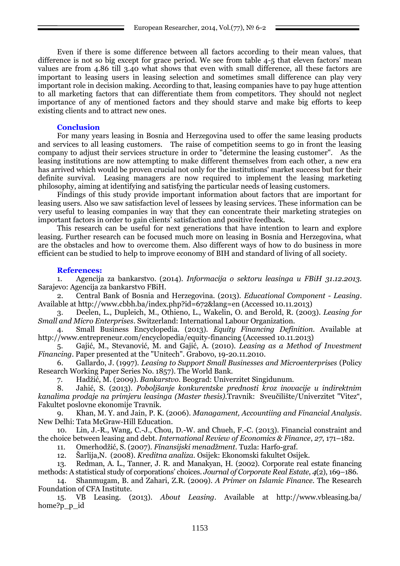Even if there is some difference between all factors according to their mean values, that difference is not so big except for grace period. We see from table 4-5 that eleven factors' mean values are from 4.86 till 3.40 what shows that even with small difference, all these factors are important to leasing users in leasing selection and sometimes small difference can play very important role in decision making. According to that, leasing companies have to pay huge attention to all marketing factors that can differentiate them from competitors. They should not neglect importance of any of mentioned factors and they should starve and make big efforts to keep existing clients and to attract new ones.

### **Conclusion**

For many years leasing in Bosnia and Herzegovina used to offer the same leasing products and services to all leasing customers. The raise of competition seems to go in front the leasing company to adjust their services structure in order to "determine the leasing customer". As the leasing institutions are now attempting to make different themselves from each other, a new era has arrived which would be proven crucial not only for the institutions' market success but for their definite survival. Leasing managers are now required to implement the leasing marketing philosophy, aiming at identifying and satisfying the particular needs of leasing customers.

Findings of this study provide important information about factors that are important for leasing users. Also we saw satisfaction level of lessees by leasing services. These information can be very useful to leasing companies in way that they can concentrate their marketing strategies on important factors in order to gain clients' satisfaction and positive feedback.

This research can be useful for next generations that have intention to learn and explore leasing. Further research can be focused much more on leasing in Bosnia and Herzegovina, what are the obstacles and how to overcome them. Also different ways of how to do business in more efficient can be studied to help to improve economy of BIH and standard of living of all society.

#### **References:**

1. Agencija za bankarstvo. (2014). *Informacija o sektoru leasinga u FBiH 31.12.2013.* Sarajevo: Agencija za bankarstvo FBiH.

2. Central Bank of Bosnia and Herzegovina. (2013). *Educational Component - Leasing*. Available at http://www.cbbh.ba/index.php?id=672&lang=en (Accessed 10.11.2013)

3. Deelen, L., Dupleich, M., Othieno, L., Wakelin, O. and Berold, R. (2003). *Leasing for Small and Micro Enterprises*. Switzerland: International Labour Organization.

4. Small Business Encyclopedia. (2013). *Equity Financing Definition.* Available at http://www.entrepreneur.com/encyclopedia/equity-financing (Accessed 10.11.2013)

5. Gajić, M., Stevanović, M. and Gajić, A. (2010). *Leasing as a Method of Investment Financing*. Paper presented at the "Unitech". Grabovo, 19-20.11.2010.

6. Gallardo, J. (1997). *Leasing to Support Small Businesses and Microenterprises* (Policy Research Working Paper Series No. 1857). The World Bank.

7. Hadţić, M. (2009). *Bankarstvo*. Beograd: Univerzitet Singidunum.

8. Jahić, S. (2013). *Poboljšanje konkurentske prednosti kroz inovacije u indirektnim kanalima prodaje na primjeru leasinga (Master thesis).*Travnik: Sveučilište/Univerzitet "Vitez―, Fakultet poslovne ekonomije Travnik.

9. Khan, M. Y. and Jain, P. K. (2006). *Managament, Accountiing and Financial Analysis*. New Delhi: Tata McGraw-Hill Education.

10. Lin, J.-R., Wang, C.-J., Chou, D.-W. and Chueh, F.-C. (2013). Financial constraint and the choice between leasing and debt. *International Review of Economics & Finance*, *27*, 171–182.

11. Omerhodţić, S. (2007). *Finansijski menadţment*. Tuzla: Harfo-graf.

12. Šarlija,N. (2008). *Kreditna analiza.* Osijek: Ekonomski fakultet Osijek.

13. Redman, A. L., Tanner, J. R. and Manakyan, H. (2002). Corporate real estate financing methods: A statistical study of corporations' choices. *Journal of Corporate Real Estate*, *4*(2), 169–186.

14. Shanmugam, B. and Zahari, Z.R. (2009). *A Primer on Islamic Finance.* The Research Foundation of CFA Institute.

15. VB Leasing. (2013). *About Leasing*. Available at http://www.vbleasing.ba/ home?p p id